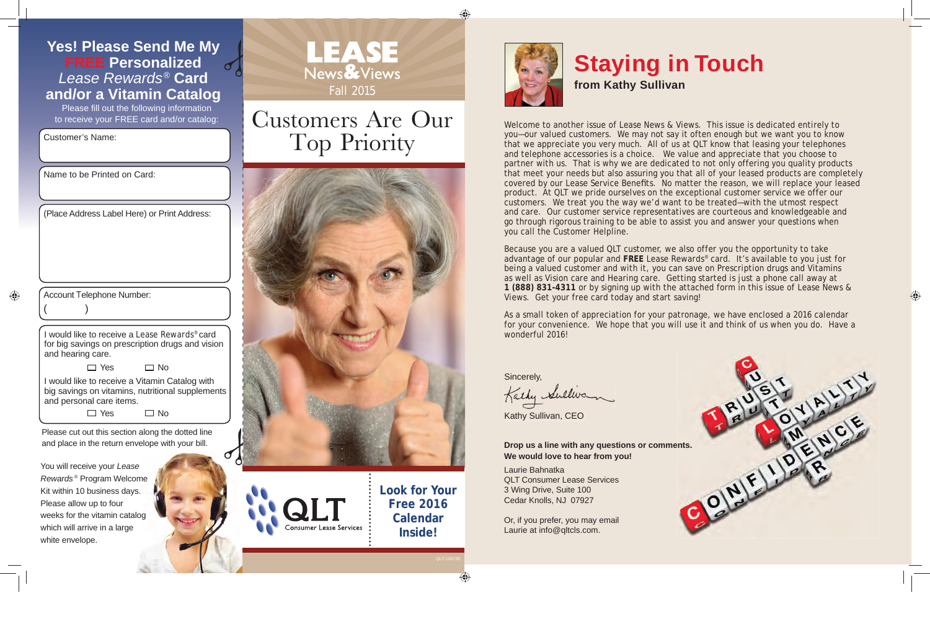**FREE Personalized** *Lease Rewards®* **Card and/or a Vitamin Catalog** Please fill out the following information to receive your FREE card and/or catalog:

Customer's Name:

Name to be Printed on Card:

Account Telephone Number:

 $($  )

(Place Address Label Here) or Print Address:

◈

I would like to receive a *Lease Rewards*® card for big savings on prescription drugs and vision and hearing care.

> $\Box$  Yes  $\Box$  No

I would like to receive a Vitamin Catalog with big savings on vitamins, nutritional supplements and personal care items.

 $\Box$  Yes  $\Box$  No

Please cut out this section along the dotted line and place in the return envelope with your bill.

You will receive your *Lease Rewards* ® Program Welcome Kit within 10 business days. Please allow up to four weeks for the vitamin catalog which will arrive in a large white envelope.



## Customers Are Our Top Priority



Consumer Lease Services

**Look for Your Free 2016 Calendar Inside!**



## **Staying in Touch**

**from Kathy Sullivan**

Welcome to another issue of *Lease News & Views*. This issue is dedicated entirely to you—our valued customers. We may not say it often enough but we want you to know that we appreciate you very much. All of us at QLT know that leasing your telephones and telephone accessories is a choice. We value and appreciate that you choose to partner with us. That is why we are dedicated to not only offering you quality products that meet your needs but also assuring you that all of your leased products are completely covered by our Lease Service Benefits. No matter the reason, we will replace your leased product. At QLT we pride ourselves on the exceptional customer service we offer our customers. We treat you the way we'd want to be treated—with the utmost respect and care. Our customer service representatives are courteous and knowledgeable and go through rigorous training to be able to assist you and answer your questions when you call the Customer Helpline.

Because you are a valued QLT customer, we also offer you the opportunity to take advantage of our popular and **FREE** *Lease Rewards*® card. It's available to you just for being a valued customer and with it, you can save on Prescription drugs and Vitamins as well as Vision care and Hearing care. Getting started is just a phone call away at **1 (888) 831-4311** or by signing up with the attached form in this issue of *Lease News & Views*. Get your free card today and start saving!

As a small token of appreciation for your patronage, we have enclosed a 2016 calendar for your convenience. We hope that you will use it and think of us when you do. Have a wonderful 2016!

Sincerely,

Kathy Sullivan, CEO

**We would love to hear from you!**

Laurie Bahnatka QLT Consumer Lease Services 3 Wing Drive, Suite 100 Cedar Knolls, NJ 07927

Or, if you prefer, you may email Laurie at info@qltcls.com.



 $\bigoplus$